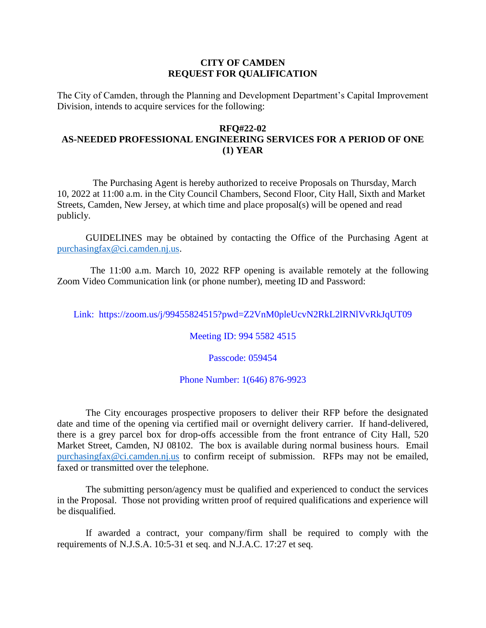## **CITY OF CAMDEN REQUEST FOR QUALIFICATION**

The City of Camden, through the Planning and Development Department's Capital Improvement Division, intends to acquire services for the following:

## **RFQ#22-02 AS-NEEDED PROFESSIONAL ENGINEERING SERVICES FOR A PERIOD OF ONE (1) YEAR**

The Purchasing Agent is hereby authorized to receive Proposals on Thursday, March 10, 2022 at 11:00 a.m. in the City Council Chambers, Second Floor, City Hall, Sixth and Market Streets, Camden, New Jersey, at which time and place proposal(s) will be opened and read publicly.

GUIDELINES may be obtained by contacting the Office of the Purchasing Agent at [purchasingfax@ci.camden.nj.us.](mailto:purchasingfax@ci.camden.nj.us)

 The 11:00 a.m. March 10, 2022 RFP opening is available remotely at the following Zoom Video Communication link (or phone number), meeting ID and Password:

Link: https://zoom.us/j/99455824515?pwd=Z2VnM0pleUcvN2RkL2lRNlVvRkJqUT09

Meeting ID: 994 5582 4515

Passcode: 059454

## Phone Number: 1(646) 876-9923

The City encourages prospective proposers to deliver their RFP before the designated date and time of the opening via certified mail or overnight delivery carrier. If hand-delivered, there is a grey parcel box for drop-offs accessible from the front entrance of City Hall, 520 Market Street, Camden, NJ 08102. The box is available during normal business hours. Email [purchasingfax@ci.camden.nj.us](mailto:purchasingfax@ci.camden.nj.us) to confirm receipt of submission. RFPs may not be emailed, faxed or transmitted over the telephone.

The submitting person/agency must be qualified and experienced to conduct the services in the Proposal. Those not providing written proof of required qualifications and experience will be disqualified.

If awarded a contract, your company/firm shall be required to comply with the requirements of N.J.S.A. 10:5-31 et seq. and N.J.A.C. 17:27 et seq.